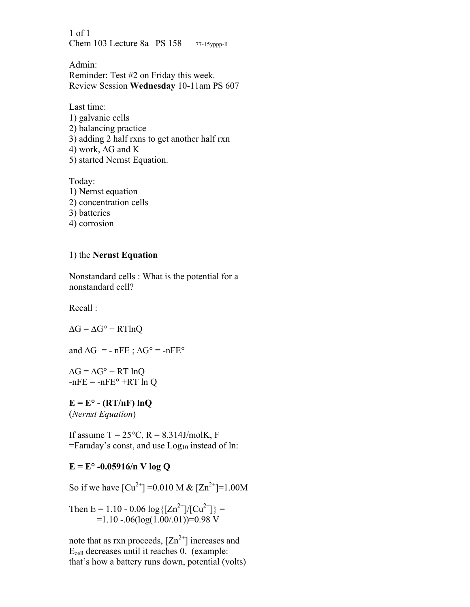1 of 1 Chem 103 Lecture 8a PS 158 77-15yppp-ll

Admin: Reminder: Test #2 on Friday this week. Review Session **Wednesday** 10-11am PS 607

Last time: 1) galvanic cells 2) balancing practice 3) adding 2 half rxns to get another half rxn 4) work, ∆G and K 5) started Nernst Equation.

Today: 1) Nernst equation 2) concentration cells 3) batteries 4) corrosion

#### 1) the **Nernst Equation**

Nonstandard cells : What is the potential for a nonstandard cell?

Recall :

 $\Delta G = \Delta G^{\circ} + RTlnQ$ 

and  $\Delta G = -nFE$ ;  $\Delta G^{\circ} = -nFE^{\circ}$ 

 $\Delta G = \Delta G^{\circ} + RT \ln Q$  $-nFE = -nFE^{\circ} + RT \ln Q$ 

 $E = E^{\circ} - (RT/nF) \ln Q$ (*Nernst Equation*)

If assume  $T = 25^{\circ}C$ ,  $R = 8.314$ J/molK, F  $=$ Faraday's const, and use  $Log<sub>10</sub>$  instead of ln:

### **E = E° -0.05916/n V log Q**

So if we have  $\text{[Cu}^{2+}\text{]}=0.010 \text{ M} \& \text{[Zn}^{2+}\text{]}=1.00 \text{M}$ 

Then E = 1.10 - 0.06  $\log{\frac{\left[\frac{Zn^{2+1}}{\sqrt{C}}\right]^{2+}}$  =  $=1.10 - 0.06(\log(1.00/01)) = 0.98$  V

note that as rxn proceeds,  $[Zn^{2+}]$  increases and Ecell decreases until it reaches 0. (example: that's how a battery runs down, potential (volts)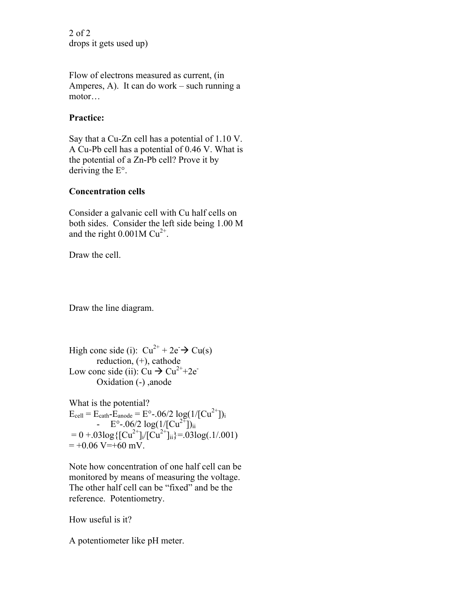2 of 2 drops it gets used up)

Flow of electrons measured as current, (in Amperes, A). It can do work – such running a motor…

# **Practice:**

Say that a Cu-Zn cell has a potential of 1.10 V. A Cu-Pb cell has a potential of 0.46 V. What is the potential of a Zn-Pb cell? Prove it by deriving the E°.

## **Concentration cells**

Consider a galvanic cell with Cu half cells on both sides. Consider the left side being 1.00 M and the right  $0.001M Cu^{2+}$ .

Draw the cell.

Draw the line diagram.

High conc side (i):  $Cu^{2+} + 2e \rightarrow Cu(s)$ reduction,  $(+)$ , cathode Low conc side (ii): Cu  $\rightarrow$  Cu<sup>2+</sup>+2e<sup>-</sup> Oxidation (-) ,anode

What is the potential?  $E_{cell} = E_{cath} - E_{anode} = E^{\circ} - 0.06/2 \log(1/[Cu^{2+}])$ <sub>i</sub> - E<sup>o</sup>-.06/2  $\log(1/[Cu^{2+}])$ <sub>ii</sub>  $= 0 + .03\log{\left[{\rm Cu}^{2+}\right]_i}/{\rm [Cu}^{2+}\right]_i} = .03\log(.1/.001)$  $= +0.06$  V=+60 mV.

Note how concentration of one half cell can be monitored by means of measuring the voltage. The other half cell can be "fixed" and be the reference. Potentiometry.

How useful is it?

A potentiometer like pH meter.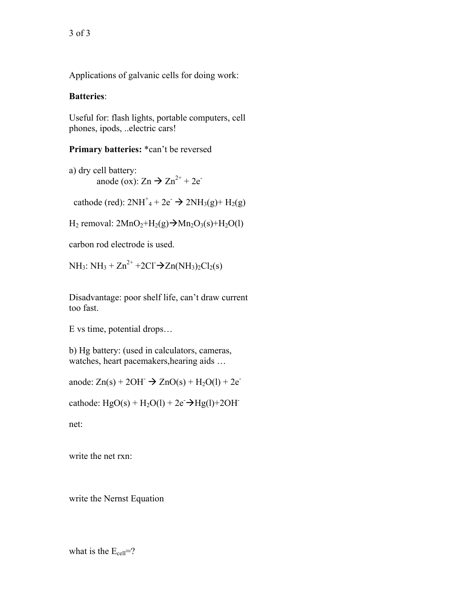Applications of galvanic cells for doing work:

### **Batteries**:

Useful for: flash lights, portable computers, cell phones, ipods, ..electric cars!

**Primary batteries:** \*can't be reversed

a) dry cell battery: anode (ox):  $Zn \rightarrow Zn^{2+} + 2e^{-}$ 

cathode (red):  $2NH^+_4 + 2e^- \rightarrow 2NH_3(g) + H_2(g)$ 

 $H_2$  removal:  $2MnO_2+H_2(g) \rightarrow Mn_2O_3(s)+H_2O(1)$ 

carbon rod electrode is used.

NH<sub>3</sub>: NH<sub>3</sub> +  $Zn^{2+}$  +2Cl<sup>-</sup> $\rightarrow$ Zn(NH<sub>3</sub>)<sub>2</sub>Cl<sub>2</sub>(s)

Disadvantage: poor shelf life, can't draw current too fast.

E vs time, potential drops…

b) Hg battery: (used in calculators, cameras, watches, heart pacemakers,hearing aids …

anode:  $Zn(s) + 2OH \rightarrow ZnO(s) + H_2O(l) + 2e^{-}$ 

cathode:  $HgO(s) + H_2O(l) + 2e^{-\frac{1}{2}}Hg(l) + 2OH^{-}$ 

net:

write the net rxn:

write the Nernst Equation

what is the  $E_{cell} = ?$